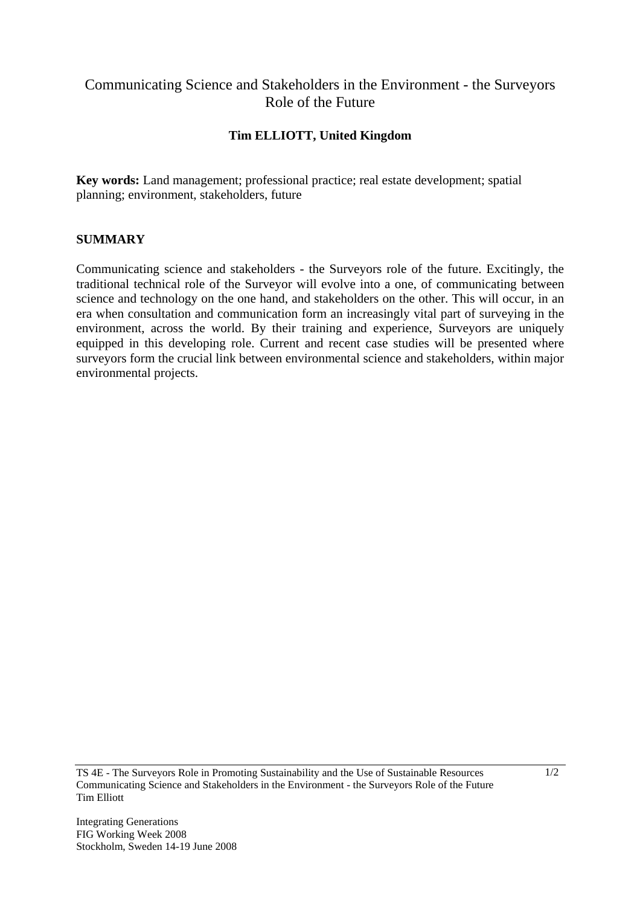## Communicating Science and Stakeholders in the Environment - the Surveyors Role of the Future

## **Tim ELLIOTT, United Kingdom**

**Key words:** Land management; professional practice; real estate development; spatial planning; environment, stakeholders, future

## **SUMMARY**

Communicating science and stakeholders - the Surveyors role of the future. Excitingly, the traditional technical role of the Surveyor will evolve into a one, of communicating between science and technology on the one hand, and stakeholders on the other. This will occur, in an era when consultation and communication form an increasingly vital part of surveying in the environment, across the world. By their training and experience, Surveyors are uniquely equipped in this developing role. Current and recent case studies will be presented where surveyors form the crucial link between environmental science and stakeholders, within major environmental projects.

TS 4E - The Surveyors Role in Promoting Sustainability and the Use of Sustainable Resources Communicating Science and Stakeholders in the Environment - the Surveyors Role of the Future Tim Elliott